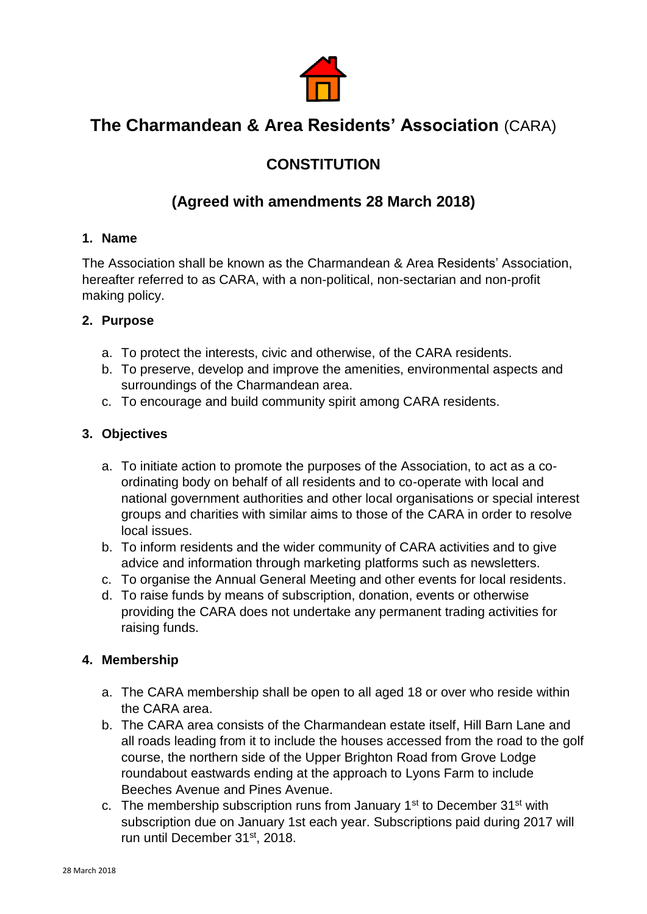

# **The Charmandean & Area Residents' Association** (CARA)

## **CONSTITUTION**

## **(Agreed with amendments 28 March 2018)**

## **1. Name**

The Association shall be known as the Charmandean & Area Residents' Association, hereafter referred to as CARA, with a non-political, non-sectarian and non-profit making policy.

## **2. Purpose**

- a. To protect the interests, civic and otherwise, of the CARA residents.
- b. To preserve, develop and improve the amenities, environmental aspects and surroundings of the Charmandean area.
- c. To encourage and build community spirit among CARA residents.

## **3. Objectives**

- a. To initiate action to promote the purposes of the Association, to act as a coordinating body on behalf of all residents and to co-operate with local and national government authorities and other local organisations or special interest groups and charities with similar aims to those of the CARA in order to resolve local issues.
- b. To inform residents and the wider community of CARA activities and to give advice and information through marketing platforms such as newsletters.
- c. To organise the Annual General Meeting and other events for local residents.
- d. To raise funds by means of subscription, donation, events or otherwise providing the CARA does not undertake any permanent trading activities for raising funds.

## **4. Membership**

- a. The CARA membership shall be open to all aged 18 or over who reside within the CARA area.
- b. The CARA area consists of the Charmandean estate itself, Hill Barn Lane and all roads leading from it to include the houses accessed from the road to the golf course, the northern side of the Upper Brighton Road from Grove Lodge roundabout eastwards ending at the approach to Lyons Farm to include Beeches Avenue and Pines Avenue.
- c. The membership subscription runs from January  $1<sup>st</sup>$  to December  $31<sup>st</sup>$  with subscription due on January 1st each year. Subscriptions paid during 2017 will run until December 31st, 2018.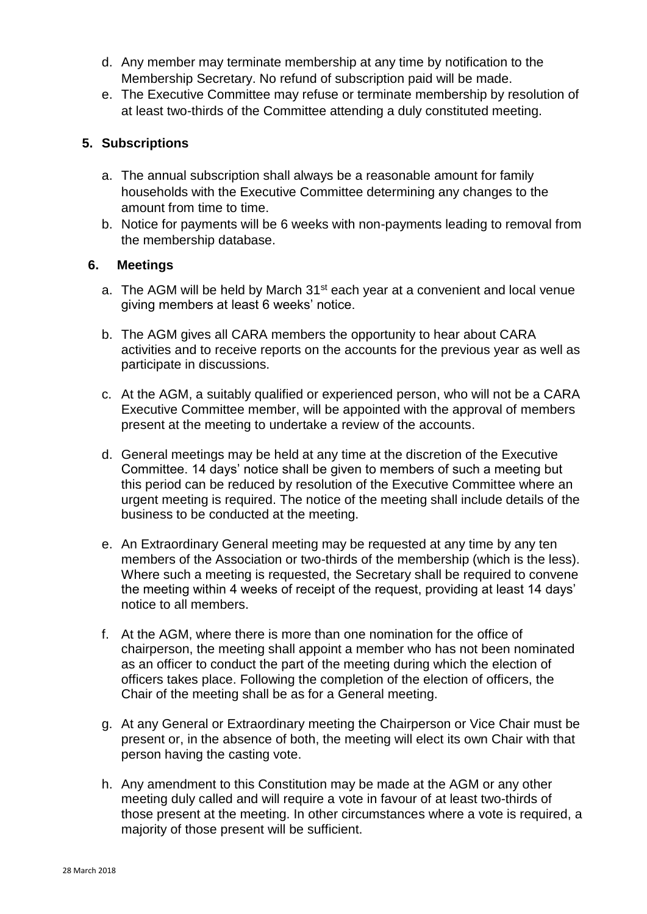- d. Any member may terminate membership at any time by notification to the Membership Secretary. No refund of subscription paid will be made.
- e. The Executive Committee may refuse or terminate membership by resolution of at least two-thirds of the Committee attending a duly constituted meeting.

#### **5. Subscriptions**

- a. The annual subscription shall always be a reasonable amount for family households with the Executive Committee determining any changes to the amount from time to time.
- b. Notice for payments will be 6 weeks with non-payments leading to removal from the membership database.

#### **6. Meetings**

- a. The AGM will be held by March  $31<sup>st</sup>$  each year at a convenient and local venue giving members at least 6 weeks' notice.
- b. The AGM gives all CARA members the opportunity to hear about CARA activities and to receive reports on the accounts for the previous year as well as participate in discussions.
- c. At the AGM, a suitably qualified or experienced person, who will not be a CARA Executive Committee member, will be appointed with the approval of members present at the meeting to undertake a review of the accounts.
- d. General meetings may be held at any time at the discretion of the Executive Committee. 14 days' notice shall be given to members of such a meeting but this period can be reduced by resolution of the Executive Committee where an urgent meeting is required. The notice of the meeting shall include details of the business to be conducted at the meeting.
- e. An Extraordinary General meeting may be requested at any time by any ten members of the Association or two-thirds of the membership (which is the less). Where such a meeting is requested, the Secretary shall be required to convene the meeting within 4 weeks of receipt of the request, providing at least 14 days' notice to all members.
- f. At the AGM, where there is more than one nomination for the office of chairperson, the meeting shall appoint a member who has not been nominated as an officer to conduct the part of the meeting during which the election of officers takes place. Following the completion of the election of officers, the Chair of the meeting shall be as for a General meeting.
- g. At any General or Extraordinary meeting the Chairperson or Vice Chair must be present or, in the absence of both, the meeting will elect its own Chair with that person having the casting vote.
- h. Any amendment to this Constitution may be made at the AGM or any other meeting duly called and will require a vote in favour of at least two-thirds of those present at the meeting. In other circumstances where a vote is required, a majority of those present will be sufficient.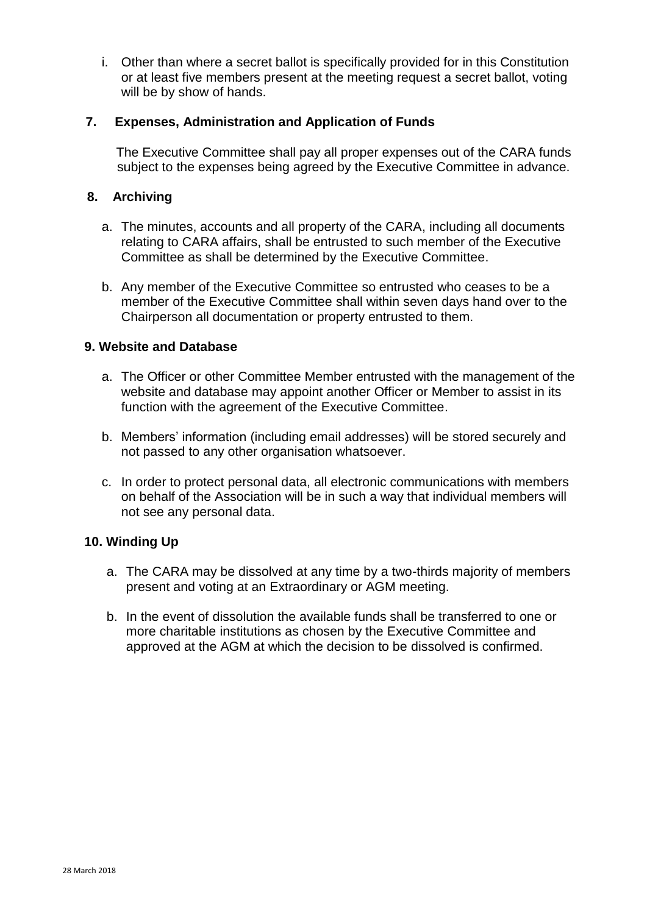i. Other than where a secret ballot is specifically provided for in this Constitution or at least five members present at the meeting request a secret ballot, voting will be by show of hands.

#### **7. Expenses, Administration and Application of Funds**

 The Executive Committee shall pay all proper expenses out of the CARA funds subject to the expenses being agreed by the Executive Committee in advance.

#### **8. Archiving**

- a. The minutes, accounts and all property of the CARA, including all documents relating to CARA affairs, shall be entrusted to such member of the Executive Committee as shall be determined by the Executive Committee.
- b. Any member of the Executive Committee so entrusted who ceases to be a member of the Executive Committee shall within seven days hand over to the Chairperson all documentation or property entrusted to them.

#### **9. Website and Database**

- a. The Officer or other Committee Member entrusted with the management of the website and database may appoint another Officer or Member to assist in its function with the agreement of the Executive Committee.
- b. Members' information (including email addresses) will be stored securely and not passed to any other organisation whatsoever.
- c. In order to protect personal data, all electronic communications with members on behalf of the Association will be in such a way that individual members will not see any personal data.

## **10. Winding Up**

- a. The CARA may be dissolved at any time by a two-thirds majority of members present and voting at an Extraordinary or AGM meeting.
- b. In the event of dissolution the available funds shall be transferred to one or more charitable institutions as chosen by the Executive Committee and approved at the AGM at which the decision to be dissolved is confirmed.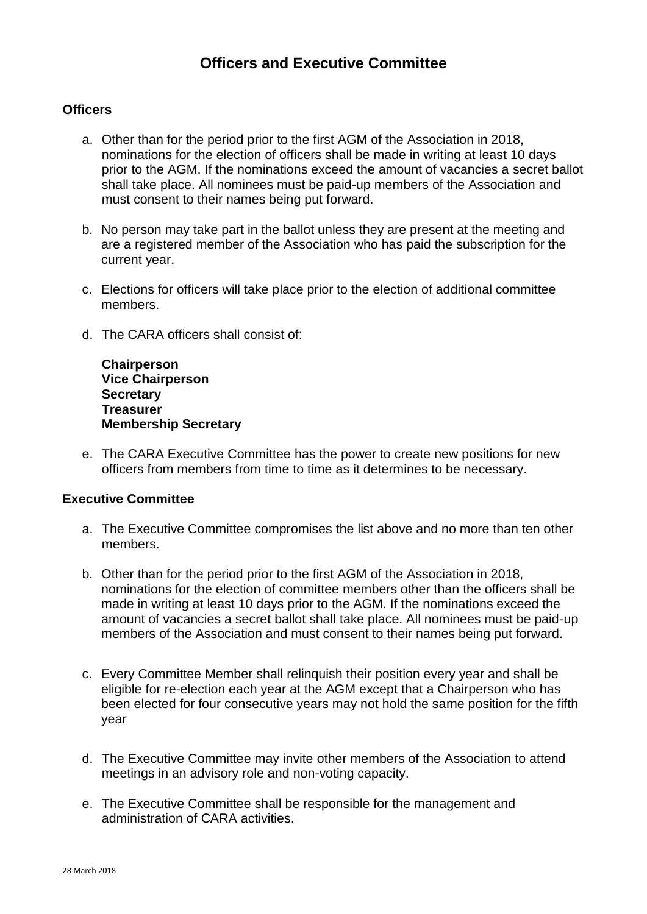## **Officers and Executive Committee**

#### **Officers**

- a. Other than for the period prior to the first AGM of the Association in 2018, nominations for the election of officers shall be made in writing at least 10 days prior to the AGM. If the nominations exceed the amount of vacancies a secret ballot shall take place. All nominees must be paid-up members of the Association and must consent to their names being put forward.
- b. No person may take part in the ballot unless they are present at the meeting and are a registered member of the Association who has paid the subscription for the current year.
- c. Elections for officers will take place prior to the election of additional committee members.
- d. The CARA officers shall consist of:

**Chairperson Vice Chairperson Secretary Treasurer Membership Secretary**

e. The CARA Executive Committee has the power to create new positions for new officers from members from time to time as it determines to be necessary.

#### **Executive Committee**

- a. The Executive Committee compromises the list above and no more than ten other members.
- b. Other than for the period prior to the first AGM of the Association in 2018, nominations for the election of committee members other than the officers shall be made in writing at least 10 days prior to the AGM. If the nominations exceed the amount of vacancies a secret ballot shall take place. All nominees must be paid-up members of the Association and must consent to their names being put forward.
- c. Every Committee Member shall relinquish their position every year and shall be eligible for re-election each year at the AGM except that a Chairperson who has been elected for four consecutive years may not hold the same position for the fifth year
- d. The Executive Committee may invite other members of the Association to attend meetings in an advisory role and non-voting capacity.
- e. The Executive Committee shall be responsible for the management and administration of CARA activities.